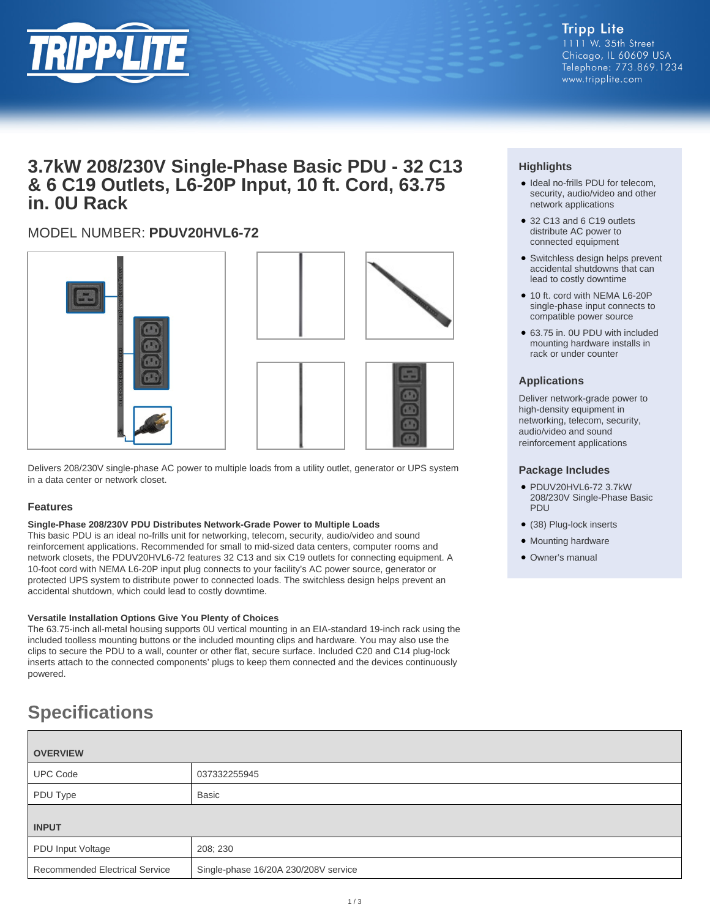

**Tripp Lite** 1111 W. 35th Street Chicago, IL 60609 USA Telephone: 773.869.1234 www.tripplite.com

# **3.7kW 208/230V Single-Phase Basic PDU - 32 C13 & 6 C19 Outlets, L6-20P Input, 10 ft. Cord, 63.75 in. 0U Rack**

# MODEL NUMBER: **PDUV20HVL6-72**



Delivers 208/230V single-phase AC power to multiple loads from a utility outlet, generator or UPS system in a data center or network closet.

### **Features**

#### **Single-Phase 208/230V PDU Distributes Network-Grade Power to Multiple Loads**

This basic PDU is an ideal no-frills unit for networking, telecom, security, audio/video and sound reinforcement applications. Recommended for small to mid-sized data centers, computer rooms and network closets, the PDUV20HVL6-72 features 32 C13 and six C19 outlets for connecting equipment. A 10-foot cord with NEMA L6-20P input plug connects to your facility's AC power source, generator or protected UPS system to distribute power to connected loads. The switchless design helps prevent an accidental shutdown, which could lead to costly downtime.

#### **Versatile Installation Options Give You Plenty of Choices**

The 63.75-inch all-metal housing supports 0U vertical mounting in an EIA-standard 19-inch rack using the included toolless mounting buttons or the included mounting clips and hardware. You may also use the clips to secure the PDU to a wall, counter or other flat, secure surface. Included C20 and C14 plug-lock inserts attach to the connected components' plugs to keep them connected and the devices continuously powered.

# **Specifications**

| <b>OVERVIEW</b>                       |                                      |  |
|---------------------------------------|--------------------------------------|--|
| <b>UPC Code</b>                       | 037332255945                         |  |
| PDU Type                              | <b>Basic</b>                         |  |
|                                       |                                      |  |
| <b>INPUT</b>                          |                                      |  |
| PDU Input Voltage                     | 208; 230                             |  |
| <b>Recommended Electrical Service</b> | Single-phase 16/20A 230/208V service |  |
|                                       |                                      |  |

## **Highlights**

- Ideal no-frills PDU for telecom, security, audio/video and other network applications
- 32 C13 and 6 C19 outlets distribute AC power to connected equipment
- Switchless design helps prevent accidental shutdowns that can lead to costly downtime
- 10 ft. cord with NEMA L6-20P single-phase input connects to compatible power source
- 63.75 in. 0U PDU with included mounting hardware installs in rack or under counter

#### **Applications**

Deliver network-grade power to high-density equipment in networking, telecom, security, audio/video and sound reinforcement applications

#### **Package Includes**

- PDUV20HVL6-72 3.7kW 208/230V Single-Phase Basic PDU
- (38) Plug-lock inserts
- Mounting hardware
- Owner's manual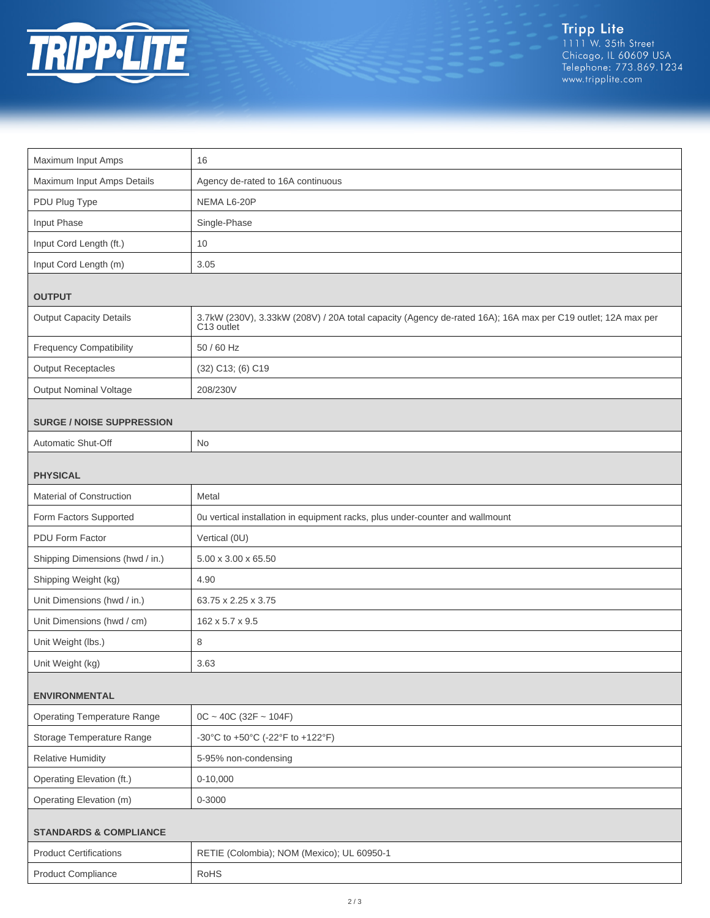

| Maximum Input Amps                 | 16                                                                                                                                    |  |
|------------------------------------|---------------------------------------------------------------------------------------------------------------------------------------|--|
| Maximum Input Amps Details         | Agency de-rated to 16A continuous                                                                                                     |  |
| PDU Plug Type                      | NEMA L6-20P                                                                                                                           |  |
| Input Phase                        | Single-Phase                                                                                                                          |  |
| Input Cord Length (ft.)            | 10                                                                                                                                    |  |
| Input Cord Length (m)              | 3.05                                                                                                                                  |  |
| <b>OUTPUT</b>                      |                                                                                                                                       |  |
| <b>Output Capacity Details</b>     | 3.7kW (230V), 3.33kW (208V) / 20A total capacity (Agency de-rated 16A); 16A max per C19 outlet; 12A max per<br>C <sub>13</sub> outlet |  |
| <b>Frequency Compatibility</b>     | 50 / 60 Hz                                                                                                                            |  |
| <b>Output Receptacles</b>          | (32) C13; (6) C19                                                                                                                     |  |
| <b>Output Nominal Voltage</b>      | 208/230V                                                                                                                              |  |
| <b>SURGE / NOISE SUPPRESSION</b>   |                                                                                                                                       |  |
| Automatic Shut-Off                 | No                                                                                                                                    |  |
|                                    |                                                                                                                                       |  |
| <b>PHYSICAL</b>                    |                                                                                                                                       |  |
| Material of Construction           | Metal                                                                                                                                 |  |
| Form Factors Supported             | Ou vertical installation in equipment racks, plus under-counter and wallmount                                                         |  |
| PDU Form Factor                    | Vertical (0U)                                                                                                                         |  |
| Shipping Dimensions (hwd / in.)    | 5.00 x 3.00 x 65.50                                                                                                                   |  |
| Shipping Weight (kg)               | 4.90                                                                                                                                  |  |
| Unit Dimensions (hwd / in.)        | 63.75 x 2.25 x 3.75                                                                                                                   |  |
| Unit Dimensions (hwd / cm)         | 162 x 5.7 x 9.5                                                                                                                       |  |
| Unit Weight (lbs.)                 | 8                                                                                                                                     |  |
| Unit Weight (kg)                   | 3.63                                                                                                                                  |  |
| <b>ENVIRONMENTAL</b>               |                                                                                                                                       |  |
| <b>Operating Temperature Range</b> | $OC - 40C (32F - 104F)$                                                                                                               |  |
| Storage Temperature Range          | -30°C to +50°C (-22°F to +122°F)                                                                                                      |  |
| <b>Relative Humidity</b>           | 5-95% non-condensing                                                                                                                  |  |
| Operating Elevation (ft.)          | $0-10,000$                                                                                                                            |  |
| Operating Elevation (m)            | 0-3000                                                                                                                                |  |
| <b>STANDARDS &amp; COMPLIANCE</b>  |                                                                                                                                       |  |
| <b>Product Certifications</b>      | RETIE (Colombia); NOM (Mexico); UL 60950-1                                                                                            |  |
| <b>Product Compliance</b>          | RoHS                                                                                                                                  |  |